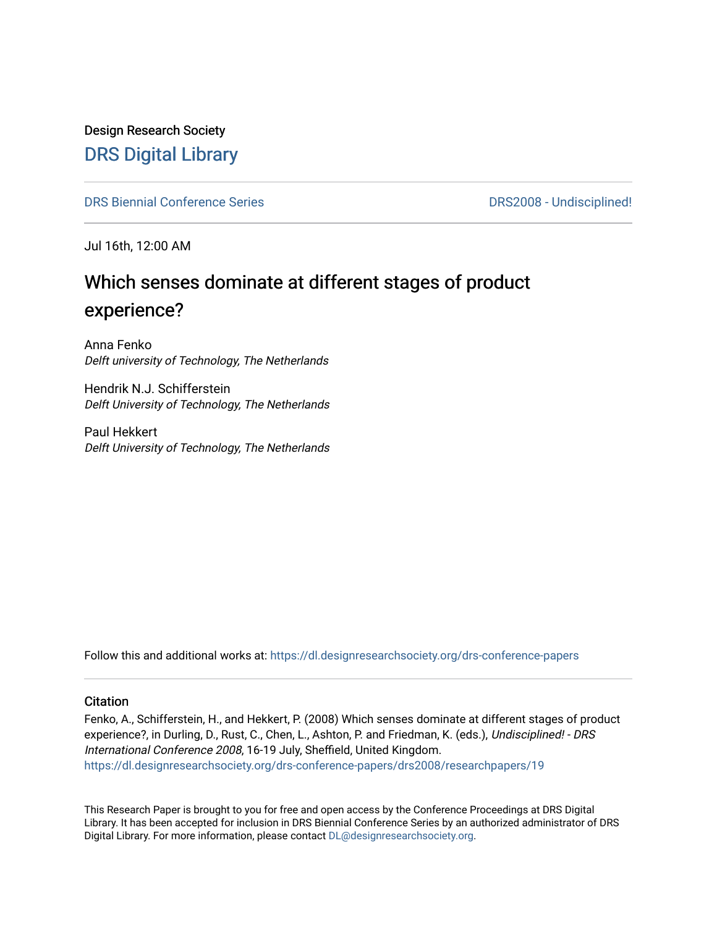Design Research Society [DRS Digital Library](https://dl.designresearchsociety.org/)

[DRS Biennial Conference Series](https://dl.designresearchsociety.org/drs-conference-papers) **DRS2008** - Undisciplined!

Jul 16th, 12:00 AM

# Which senses dominate at different stages of product experience?

Anna Fenko Delft university of Technology, The Netherlands

Hendrik N.J. Schifferstein Delft University of Technology, The Netherlands

Paul Hekkert Delft University of Technology, The Netherlands

Follow this and additional works at: [https://dl.designresearchsociety.org/drs-conference-papers](https://dl.designresearchsociety.org/drs-conference-papers?utm_source=dl.designresearchsociety.org%2Fdrs-conference-papers%2Fdrs2008%2Fresearchpapers%2F19&utm_medium=PDF&utm_campaign=PDFCoverPages) 

#### **Citation**

Fenko, A., Schifferstein, H., and Hekkert, P. (2008) Which senses dominate at different stages of product experience?, in Durling, D., Rust, C., Chen, L., Ashton, P. and Friedman, K. (eds.), Undisciplined! - DRS International Conference 2008, 16-19 July, Sheffield, United Kingdom. [https://dl.designresearchsociety.org/drs-conference-papers/drs2008/researchpapers/19](https://dl.designresearchsociety.org/drs-conference-papers/drs2008/researchpapers/19?utm_source=dl.designresearchsociety.org%2Fdrs-conference-papers%2Fdrs2008%2Fresearchpapers%2F19&utm_medium=PDF&utm_campaign=PDFCoverPages)

This Research Paper is brought to you for free and open access by the Conference Proceedings at DRS Digital Library. It has been accepted for inclusion in DRS Biennial Conference Series by an authorized administrator of DRS Digital Library. For more information, please contact [DL@designresearchsociety.org.](mailto:DL@designresearchsociety.org)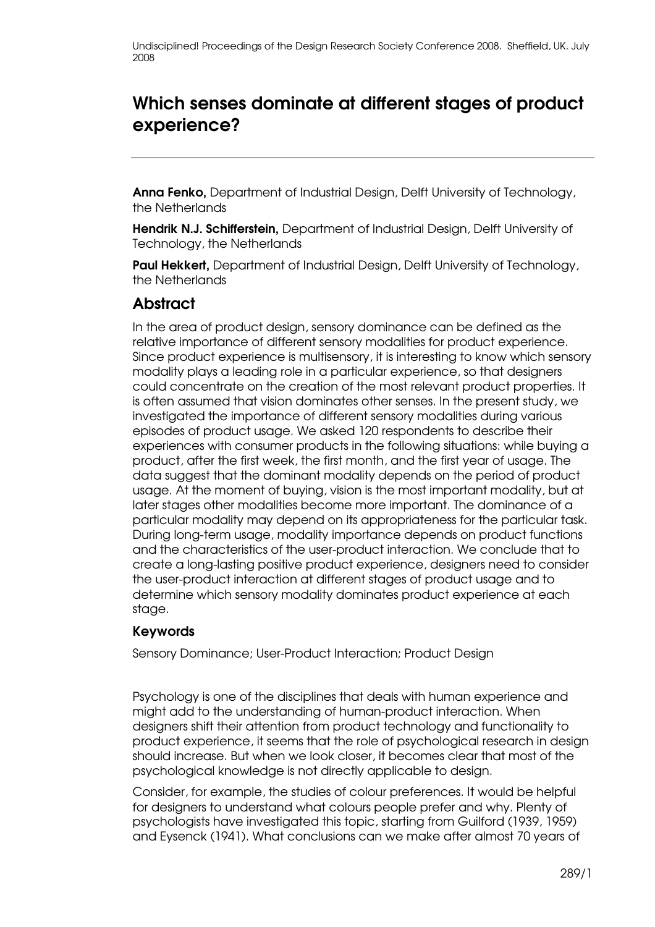# Which senses dominate at different stages of product experience?

Anna Fenko, Department of Industrial Design, Delft University of Technology, the Netherlands

Hendrik N.J. Schifferstein, Department of Industrial Design, Delft University of Technology, the Netherlands

Paul Hekkert, Department of Industrial Design, Delft University of Technology, the Netherlands

### **Abstract**

In the area of product design, sensory dominance can be defined as the relative importance of different sensory modalities for product experience. Since product experience is multisensory, it is interesting to know which sensory modality plays a leading role in a particular experience, so that designers could concentrate on the creation of the most relevant product properties. It is often assumed that vision dominates other senses. In the present study, we investigated the importance of different sensory modalities during various episodes of product usage. We asked 120 respondents to describe their experiences with consumer products in the following situations: while buying a product, after the first week, the first month, and the first year of usage. The data suggest that the dominant modality depends on the period of product usage. At the moment of buying, vision is the most important modality, but at later stages other modalities become more important. The dominance of a particular modality may depend on its appropriateness for the particular task. During long-term usage, modality importance depends on product functions and the characteristics of the user-product interaction. We conclude that to create a long-lasting positive product experience, designers need to consider the user-product interaction at different stages of product usage and to determine which sensory modality dominates product experience at each stage.

#### Keywords

Sensory Dominance; User-Product Interaction; Product Design

Psychology is one of the disciplines that deals with human experience and might add to the understanding of human-product interaction. When designers shift their attention from product technology and functionality to product experience, it seems that the role of psychological research in design should increase. But when we look closer, it becomes clear that most of the psychological knowledge is not directly applicable to design.

Consider, for example, the studies of colour preferences. It would be helpful for designers to understand what colours people prefer and why. Plenty of psychologists have investigated this topic, starting from Guilford (1939, 1959) and Eysenck (1941). What conclusions can we make after almost 70 years of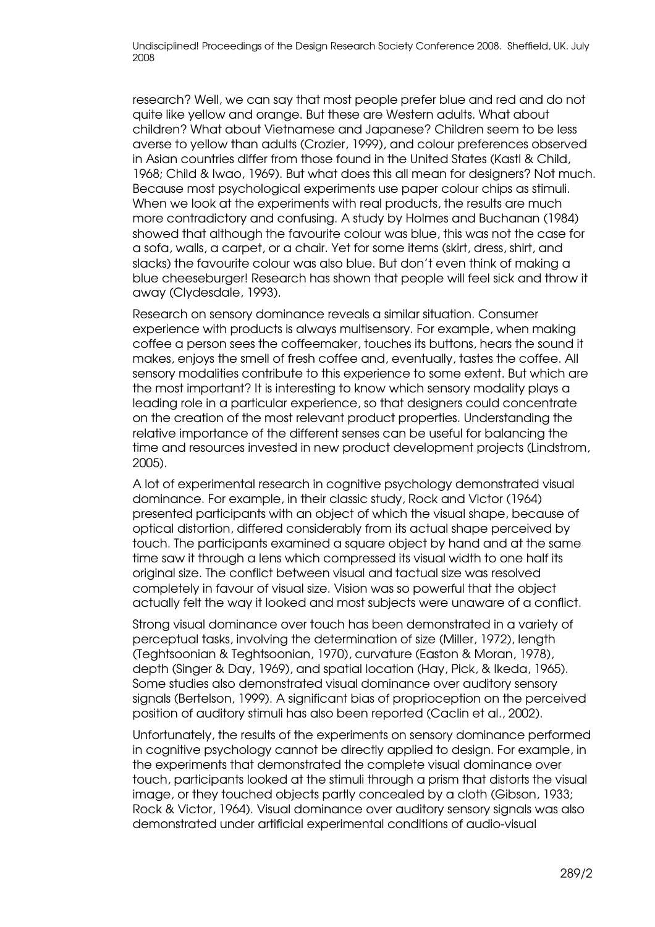research? Well, we can say that most people prefer blue and red and do not quite like yellow and orange. But these are Western adults. What about children? What about Vietnamese and Japanese? Children seem to be less averse to yellow than adults (Crozier, 1999), and colour preferences observed in Asian countries differ from those found in the United States (Kastl & Child, 1968; Child & Iwao, 1969). But what does this all mean for designers? Not much. Because most psychological experiments use paper colour chips as stimuli. When we look at the experiments with real products, the results are much more contradictory and confusing. A study by Holmes and Buchanan (1984) showed that although the favourite colour was blue, this was not the case for a sofa, walls, a carpet, or a chair. Yet for some items (skirt, dress, shirt, and slacks) the favourite colour was also blue. But don't even think of making a blue cheeseburger! Research has shown that people will feel sick and throw it away (Clydesdale, 1993).

Research on sensory dominance reveals a similar situation. Consumer experience with products is always multisensory. For example, when making coffee a person sees the coffeemaker, touches its buttons, hears the sound it makes, enjoys the smell of fresh coffee and, eventually, tastes the coffee. All sensory modalities contribute to this experience to some extent. But which are the most important? It is interesting to know which sensory modality plays a leading role in a particular experience, so that designers could concentrate on the creation of the most relevant product properties. Understanding the relative importance of the different senses can be useful for balancing the time and resources invested in new product development projects (Lindstrom, 2005).

A lot of experimental research in cognitive psychology demonstrated visual dominance. For example, in their classic study, Rock and Victor (1964) presented participants with an object of which the visual shape, because of optical distortion, differed considerably from its actual shape perceived by touch. The participants examined a square object by hand and at the same time saw it through a lens which compressed its visual width to one half its original size. The conflict between visual and tactual size was resolved completely in favour of visual size. Vision was so powerful that the object actually felt the way it looked and most subjects were unaware of a conflict.

Strong visual dominance over touch has been demonstrated in a variety of perceptual tasks, involving the determination of size (Miller, 1972), length (Teghtsoonian & Teghtsoonian, 1970), curvature (Easton & Moran, 1978), depth (Singer & Day, 1969), and spatial location (Hay, Pick, & Ikeda, 1965). Some studies also demonstrated visual dominance over auditory sensory signals (Bertelson, 1999). A significant bias of proprioception on the perceived position of auditory stimuli has also been reported (Caclin et al., 2002).

Unfortunately, the results of the experiments on sensory dominance performed in cognitive psychology cannot be directly applied to design. For example, in the experiments that demonstrated the complete visual dominance over touch, participants looked at the stimuli through a prism that distorts the visual image, or they touched objects partly concealed by a cloth (Gibson, 1933; Rock & Victor, 1964). Visual dominance over auditory sensory signals was also demonstrated under artificial experimental conditions of audio-visual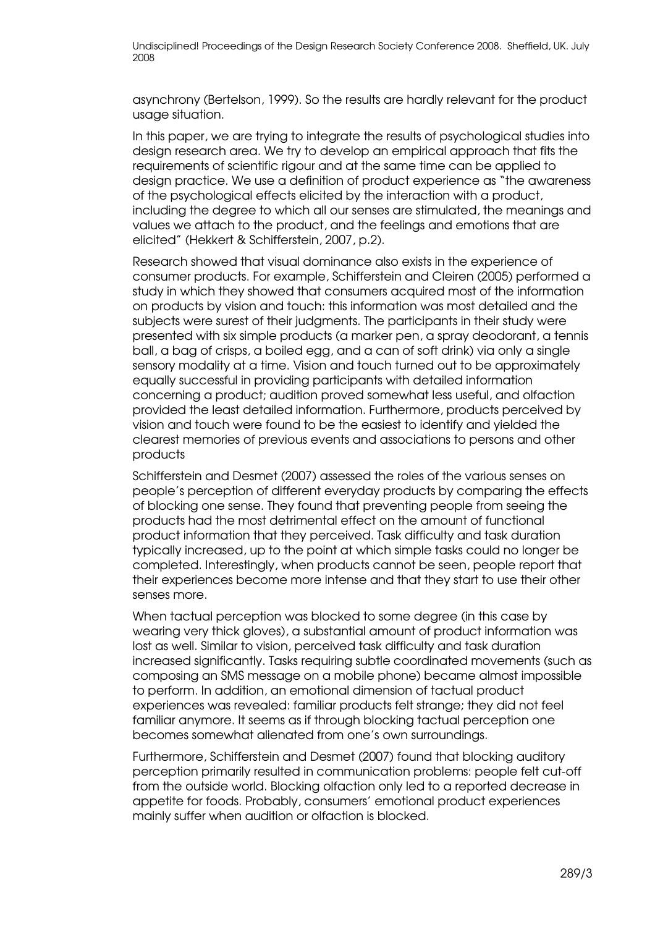asynchrony (Bertelson, 1999). So the results are hardly relevant for the product usage situation.

In this paper, we are trying to integrate the results of psychological studies into design research area. We try to develop an empirical approach that fits the requirements of scientific rigour and at the same time can be applied to design practice. We use a definition of product experience as "the awareness of the psychological effects elicited by the interaction with a product, including the degree to which all our senses are stimulated, the meanings and values we attach to the product, and the feelings and emotions that are elicited" (Hekkert & Schifferstein, 2007, p.2).

Research showed that visual dominance also exists in the experience of consumer products. For example, Schifferstein and Cleiren (2005) performed a study in which they showed that consumers acquired most of the information on products by vision and touch: this information was most detailed and the subjects were surest of their judgments. The participants in their study were presented with six simple products (a marker pen, a spray deodorant, a tennis ball, a bag of crisps, a boiled egg, and a can of soft drink) via only a single sensory modality at a time. Vision and touch turned out to be approximately equally successful in providing participants with detailed information concerning a product; audition proved somewhat less useful, and olfaction provided the least detailed information. Furthermore, products perceived by vision and touch were found to be the easiest to identify and yielded the clearest memories of previous events and associations to persons and other products

Schifferstein and Desmet (2007) assessed the roles of the various senses on people's perception of different everyday products by comparing the effects of blocking one sense. They found that preventing people from seeing the products had the most detrimental effect on the amount of functional product information that they perceived. Task difficulty and task duration typically increased, up to the point at which simple tasks could no longer be completed. Interestingly, when products cannot be seen, people report that their experiences become more intense and that they start to use their other senses more.

When tactual perception was blocked to some degree (in this case by wearing very thick gloves), a substantial amount of product information was lost as well. Similar to vision, perceived task difficulty and task duration increased significantly. Tasks requiring subtle coordinated movements (such as composing an SMS message on a mobile phone) became almost impossible to perform. In addition, an emotional dimension of tactual product experiences was revealed: familiar products felt strange; they did not feel familiar anymore. It seems as if through blocking tactual perception one becomes somewhat alienated from one's own surroundings.

Furthermore, Schifferstein and Desmet (2007) found that blocking auditory perception primarily resulted in communication problems: people felt cut-off from the outside world. Blocking olfaction only led to a reported decrease in appetite for foods. Probably, consumers' emotional product experiences mainly suffer when audition or olfaction is blocked.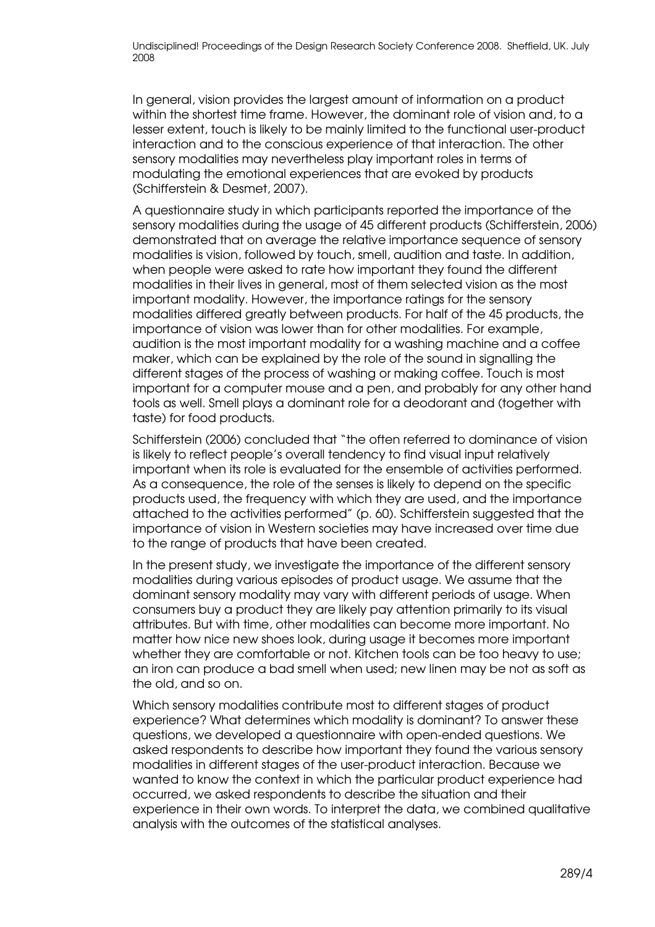In general, vision provides the largest amount of information on a product within the shortest time frame. However, the dominant role of vision and, to a lesser extent, touch is likely to be mainly limited to the functional user-product interaction and to the conscious experience of that interaction. The other sensory modalities may nevertheless play important roles in terms of modulating the emotional experiences that are evoked by products (Schifferstein & Desmet, 2007).

A questionnaire study in which participants reported the importance of the sensory modalities during the usage of 45 different products (Schifferstein, 2006) demonstrated that on average the relative importance sequence of sensory modalities is vision, followed by touch, smell, audition and taste. In addition, when people were asked to rate how important they found the different modalities in their lives in general, most of them selected vision as the most important modality. However, the importance ratings for the sensory modalities differed greatly between products. For half of the 45 products, the importance of vision was lower than for other modalities. For example, audition is the most important modality for a washing machine and a coffee maker, which can be explained by the role of the sound in signalling the different stages of the process of washing or making coffee. Touch is most important for a computer mouse and a pen, and probably for any other hand tools as well. Smell plays a dominant role for a deodorant and (together with taste) for food products.

Schifferstein (2006) concluded that "the often referred to dominance of vision is likely to reflect people's overall tendency to find visual input relatively important when its role is evaluated for the ensemble of activities performed. As a consequence, the role of the senses is likely to depend on the specific products used, the frequency with which they are used, and the importance attached to the activities performed" (p. 60). Schifferstein suggested that the importance of vision in Western societies may have increased over time due to the range of products that have been created.

In the present study, we investigate the importance of the different sensory modalities during various episodes of product usage. We assume that the dominant sensory modality may vary with different periods of usage. When consumers buy a product they are likely pay attention primarily to its visual attributes. But with time, other modalities can become more important. No matter how nice new shoes look, during usage it becomes more important whether they are comfortable or not. Kitchen tools can be too heavy to use; an iron can produce a bad smell when used; new linen may be not as soft as the old, and so on.

Which sensory modalities contribute most to different stages of product experience? What determines which modality is dominant? To answer these questions, we developed a questionnaire with open-ended questions. We asked respondents to describe how important they found the various sensory modalities in different stages of the user-product interaction. Because we wanted to know the context in which the particular product experience had occurred, we asked respondents to describe the situation and their experience in their own words. To interpret the data, we combined qualitative analysis with the outcomes of the statistical analyses.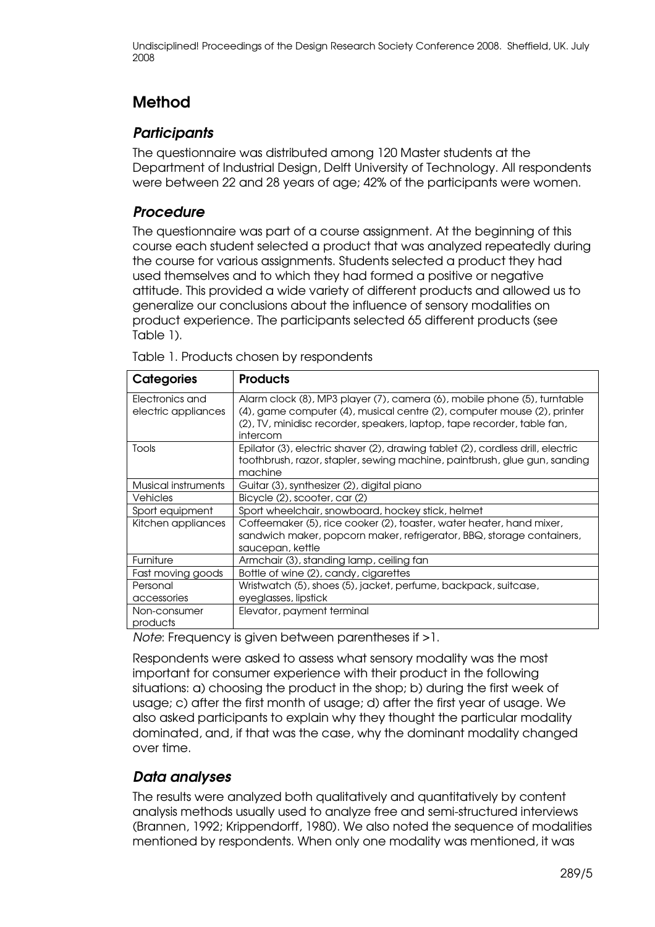## Method

### **Participants**

The questionnaire was distributed among 120 Master students at the Department of Industrial Design, Delft University of Technology. All respondents were between 22 and 28 years of age; 42% of the participants were women.

#### Procedure

The questionnaire was part of a course assignment. At the beginning of this course each student selected a product that was analyzed repeatedly during the course for various assignments. Students selected a product they had used themselves and to which they had formed a positive or negative attitude. This provided a wide variety of different products and allowed us to generalize our conclusions about the influence of sensory modalities on product experience. The participants selected 65 different products (see Table 1).

| Categories                             | <b>Products</b>                                                                                                                                                                                                                            |
|----------------------------------------|--------------------------------------------------------------------------------------------------------------------------------------------------------------------------------------------------------------------------------------------|
| Electronics and<br>electric appliances | Alarm clock (8), MP3 player (7), camera (6), mobile phone (5), turntable<br>(4), game computer (4), musical centre (2), computer mouse (2), printer<br>(2), TV, minidisc recorder, speakers, laptop, tape recorder, table fan,<br>intercom |
| Tools                                  | Epilator (3), electric shaver (2), drawing tablet (2), cordless drill, electric<br>toothbrush, razor, stapler, sewing machine, paintbrush, glue gun, sanding<br>machine                                                                    |
| Musical instruments                    | Guitar (3), synthesizer (2), digital piano                                                                                                                                                                                                 |
| <b>Vehicles</b>                        | Bicycle (2), scooter, car (2)                                                                                                                                                                                                              |
| Sport equipment                        | Sport wheelchair, snowboard, hockey stick, helmet                                                                                                                                                                                          |
| Kitchen appliances                     | Coffeemaker (5), rice cooker (2), toaster, water heater, hand mixer,<br>sandwich maker, popcorn maker, refrigerator, BBQ, storage containers,<br>saucepan, kettle                                                                          |
| Furniture                              | Armchair (3), standing lamp, ceiling fan                                                                                                                                                                                                   |
| Fast moving goods                      | Bottle of wine (2), candy, cigarettes                                                                                                                                                                                                      |
| Personal<br>accessories                | Wristwatch (5), shoes (5), jacket, perfume, backpack, suitcase,<br>eyeglasses, lipstick                                                                                                                                                    |
| Non-consumer<br>products               | Elevator, payment terminal                                                                                                                                                                                                                 |

Table 1. Products chosen by respondents

Note: Frequency is given between parentheses if >1.

Respondents were asked to assess what sensory modality was the most important for consumer experience with their product in the following situations: a) choosing the product in the shop; b) during the first week of usage; c) after the first month of usage; d) after the first year of usage. We also asked participants to explain why they thought the particular modality dominated, and, if that was the case, why the dominant modality changed over time.

#### Data analyses

The results were analyzed both qualitatively and quantitatively by content analysis methods usually used to analyze free and semi-structured interviews (Brannen, 1992; Krippendorff, 1980). We also noted the sequence of modalities mentioned by respondents. When only one modality was mentioned, it was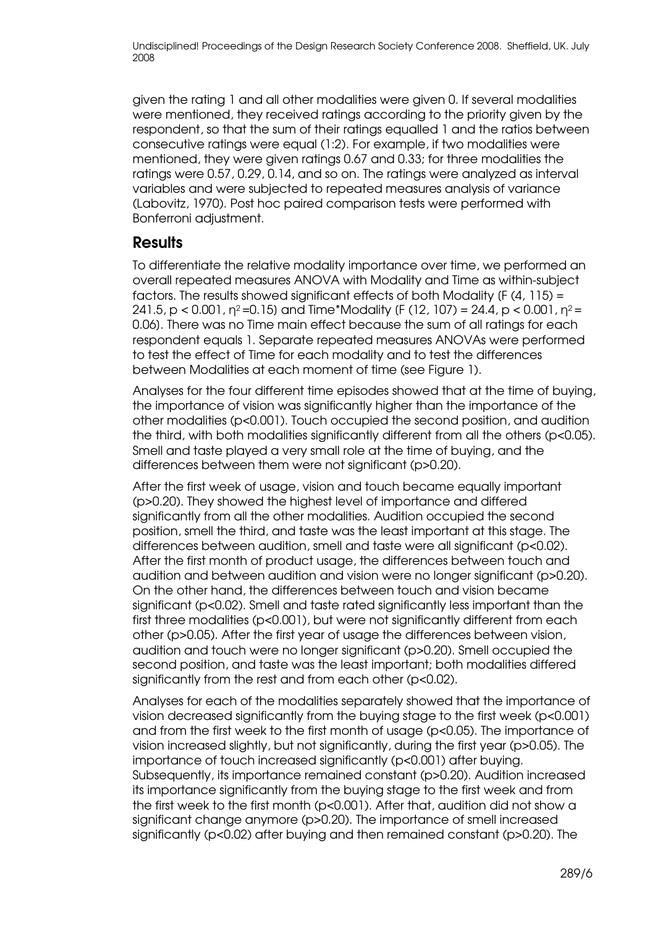given the rating 1 and all other modalities were given 0. If several modalities were mentioned, they received ratings according to the priority given by the respondent, so that the sum of their ratings equalled 1 and the ratios between consecutive ratings were equal (1:2). For example, if two modalities were mentioned, they were given ratings 0.67 and 0.33; for three modalities the ratings were 0.57, 0.29, 0.14, and so on. The ratings were analyzed as interval variables and were subjected to repeated measures analysis of variance (Labovitz, 1970). Post hoc paired comparison tests were performed with Bonferroni adjustment.

### **Results**

To differentiate the relative modality importance over time, we performed an overall repeated measures ANOVA with Modality and Time as within-subject factors. The results showed significant effects of both Modality [F (4, 115) = 241.5, p < 0.001,  $n^2$ =0.15) and Time\*Modality (F (12, 107) = 24.4, p < 0.001,  $n^2$  = 0.06]. There was no Time main effect because the sum of all ratings for each respondent equals 1. Separate repeated measures ANOVAs were performed to test the effect of Time for each modality and to test the differences between Modalities at each moment of time (see Figure 1).

Analyses for the four different time episodes showed that at the time of buying, the importance of vision was significantly higher than the importance of the other modalities (p<0.001). Touch occupied the second position, and audition the third, with both modalities significantly different from all the others (p<0.05). Smell and taste played a very small role at the time of buying, and the differences between them were not significant (p>0.20).

After the first week of usage, vision and touch became equally important (p>0.20). They showed the highest level of importance and differed significantly from all the other modalities. Audition occupied the second position, smell the third, and taste was the least important at this stage. The differences between audition, smell and taste were all significant (p<0.02). After the first month of product usage, the differences between touch and audition and between audition and vision were no longer significant (p>0.20). On the other hand, the differences between touch and vision became significant (p<0.02). Smell and taste rated significantly less important than the first three modalities (p<0.001), but were not significantly different from each other (p>0.05). After the first year of usage the differences between vision, audition and touch were no longer significant (p>0.20). Smell occupied the second position, and taste was the least important; both modalities differed significantly from the rest and from each other (p<0.02).

Analyses for each of the modalities separately showed that the importance of vision decreased significantly from the buying stage to the first week (p<0.001) and from the first week to the first month of usage (p<0.05). The importance of vision increased slightly, but not significantly, during the first year (p>0.05). The importance of touch increased significantly (p<0.001) after buying. Subsequently, its importance remained constant (p>0.20). Audition increased its importance significantly from the buying stage to the first week and from the first week to the first month (p<0.001). After that, audition did not show a significant change anymore (p>0.20). The importance of smell increased significantly (p<0.02) after buying and then remained constant (p>0.20). The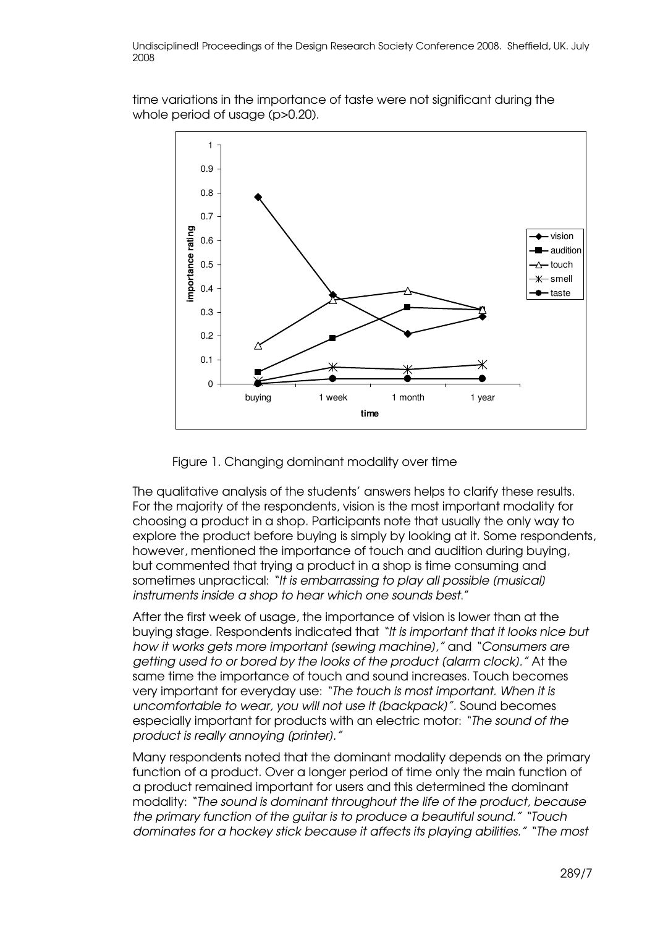time variations in the importance of taste were not significant during the whole period of usage (p>0.20).



Figure 1. Changing dominant modality over time

The qualitative analysis of the students' answers helps to clarify these results. For the majority of the respondents, vision is the most important modality for choosing a product in a shop. Participants note that usually the only way to explore the product before buying is simply by looking at it. Some respondents, however, mentioned the importance of touch and audition during buying, but commented that trying a product in a shop is time consuming and sometimes unpractical: "It is embarrassing to play all possible (musical) instruments inside a shop to hear which one sounds best."

After the first week of usage, the importance of vision is lower than at the buying stage. Respondents indicated that "It is important that it looks nice but how it works gets more important [sewing machine]," and "Consumers are getting used to or bored by the looks of the product [alarm clock]." At the same time the importance of touch and sound increases. Touch becomes very important for everyday use: "The touch is most important. When it is uncomfortable to wear, you will not use it [backpack]". Sound becomes especially important for products with an electric motor: "The sound of the product is really annoying (printer)."

Many respondents noted that the dominant modality depends on the primary function of a product. Over a longer period of time only the main function of a product remained important for users and this determined the dominant modality: "The sound is dominant throughout the life of the product, because the primary function of the guitar is to produce a beautiful sound." "Touch dominates for a hockey stick because it affects its playing abilities." "The most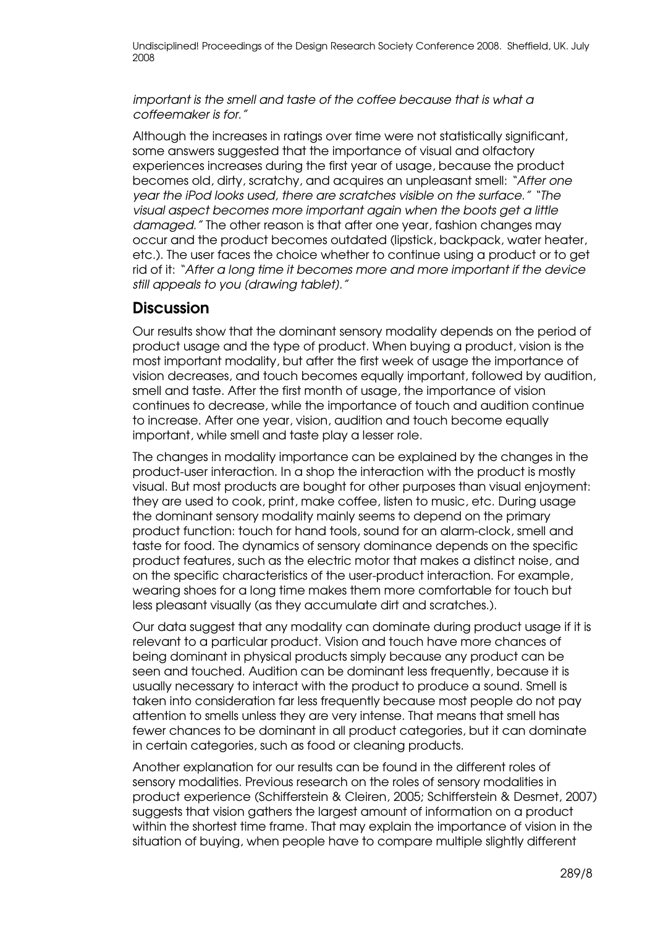important is the smell and taste of the coffee because that is what a coffeemaker is for."

Although the increases in ratings over time were not statistically significant, some answers suggested that the importance of visual and olfactory experiences increases during the first year of usage, because the product becomes old, dirty, scratchy, and acquires an unpleasant smell: "After one year the iPod looks used, there are scratches visible on the surface." "The visual aspect becomes more important again when the boots get a little damaged." The other reason is that after one year, fashion changes may occur and the product becomes outdated (lipstick, backpack, water heater, etc.). The user faces the choice whether to continue using a product or to get rid of it: "After a long time it becomes more and more important if the device still appeals to you [drawing tablet]."

#### **Discussion**

Our results show that the dominant sensory modality depends on the period of product usage and the type of product. When buying a product, vision is the most important modality, but after the first week of usage the importance of vision decreases, and touch becomes equally important, followed by audition, smell and taste. After the first month of usage, the importance of vision continues to decrease, while the importance of touch and audition continue to increase. After one year, vision, audition and touch become equally important, while smell and taste play a lesser role.

The changes in modality importance can be explained by the changes in the product-user interaction. In a shop the interaction with the product is mostly visual. But most products are bought for other purposes than visual enjoyment: they are used to cook, print, make coffee, listen to music, etc. During usage the dominant sensory modality mainly seems to depend on the primary product function: touch for hand tools, sound for an alarm-clock, smell and taste for food. The dynamics of sensory dominance depends on the specific product features, such as the electric motor that makes a distinct noise, and on the specific characteristics of the user-product interaction. For example, wearing shoes for a long time makes them more comfortable for touch but less pleasant visually (as they accumulate dirt and scratches.).

Our data suggest that any modality can dominate during product usage if it is relevant to a particular product. Vision and touch have more chances of being dominant in physical products simply because any product can be seen and touched. Audition can be dominant less frequently, because it is usually necessary to interact with the product to produce a sound. Smell is taken into consideration far less frequently because most people do not pay attention to smells unless they are very intense. That means that smell has fewer chances to be dominant in all product categories, but it can dominate in certain categories, such as food or cleaning products.

Another explanation for our results can be found in the different roles of sensory modalities. Previous research on the roles of sensory modalities in product experience (Schifferstein & Cleiren, 2005; Schifferstein & Desmet, 2007) suggests that vision gathers the largest amount of information on a product within the shortest time frame. That may explain the importance of vision in the situation of buying, when people have to compare multiple slightly different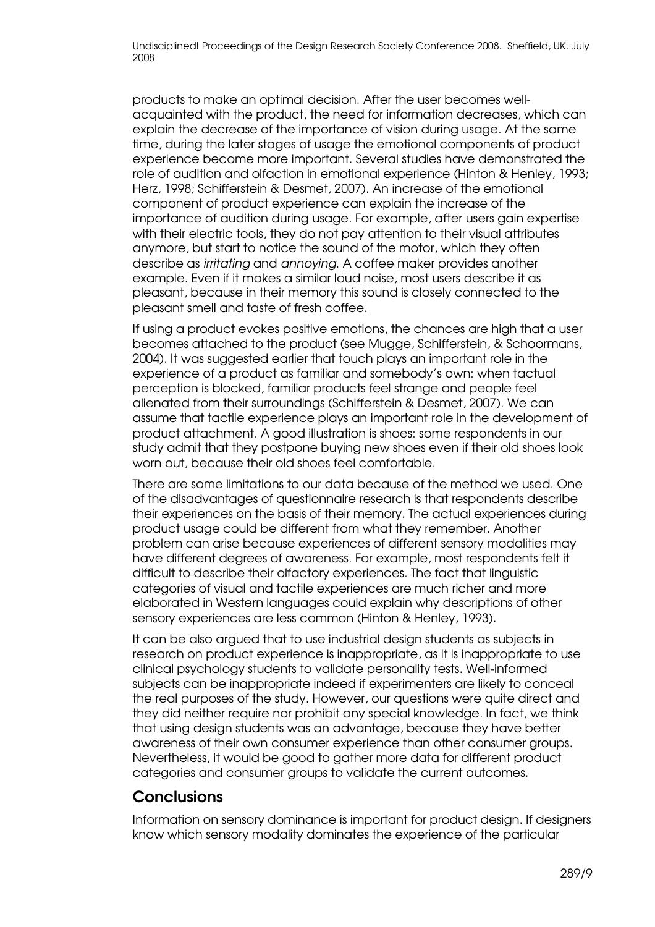products to make an optimal decision. After the user becomes wellacquainted with the product, the need for information decreases, which can explain the decrease of the importance of vision during usage. At the same time, during the later stages of usage the emotional components of product experience become more important. Several studies have demonstrated the role of audition and olfaction in emotional experience (Hinton & Henley, 1993; Herz, 1998; Schifferstein & Desmet, 2007). An increase of the emotional component of product experience can explain the increase of the importance of audition during usage. For example, after users gain expertise with their electric tools, they do not pay attention to their visual attributes anymore, but start to notice the sound of the motor, which they often describe as irritating and annoying. A coffee maker provides another example. Even if it makes a similar loud noise, most users describe it as pleasant, because in their memory this sound is closely connected to the pleasant smell and taste of fresh coffee.

If using a product evokes positive emotions, the chances are high that a user becomes attached to the product (see Mugge, Schifferstein, & Schoormans, 2004). It was suggested earlier that touch plays an important role in the experience of a product as familiar and somebody's own: when tactual perception is blocked, familiar products feel strange and people feel alienated from their surroundings (Schifferstein & Desmet, 2007). We can assume that tactile experience plays an important role in the development of product attachment. A good illustration is shoes: some respondents in our study admit that they postpone buying new shoes even if their old shoes look worn out, because their old shoes feel comfortable.

There are some limitations to our data because of the method we used. One of the disadvantages of questionnaire research is that respondents describe their experiences on the basis of their memory. The actual experiences during product usage could be different from what they remember. Another problem can arise because experiences of different sensory modalities may have different degrees of awareness. For example, most respondents felt it difficult to describe their olfactory experiences. The fact that linguistic categories of visual and tactile experiences are much richer and more elaborated in Western languages could explain why descriptions of other sensory experiences are less common (Hinton & Henley, 1993).

It can be also argued that to use industrial design students as subjects in research on product experience is inappropriate, as it is inappropriate to use clinical psychology students to validate personality tests. Well-informed subjects can be inappropriate indeed if experimenters are likely to conceal the real purposes of the study. However, our questions were quite direct and they did neither require nor prohibit any special knowledge. In fact, we think that using design students was an advantage, because they have better awareness of their own consumer experience than other consumer groups. Nevertheless, it would be good to gather more data for different product categories and consumer groups to validate the current outcomes.

### **Conclusions**

Information on sensory dominance is important for product design. If designers know which sensory modality dominates the experience of the particular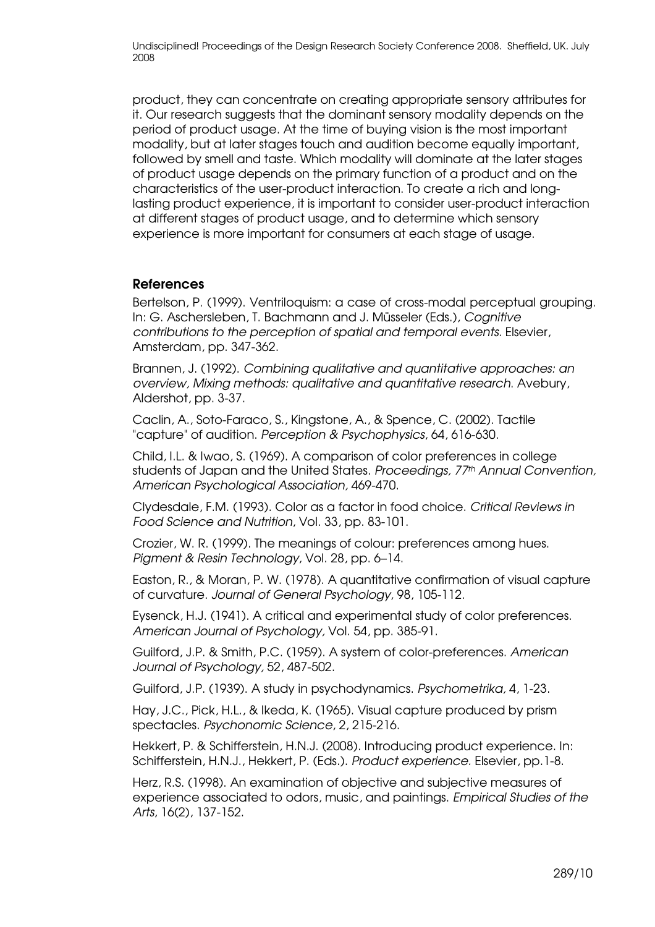product, they can concentrate on creating appropriate sensory attributes for it. Our research suggests that the dominant sensory modality depends on the period of product usage. At the time of buying vision is the most important modality, but at later stages touch and audition become equally important, followed by smell and taste. Which modality will dominate at the later stages of product usage depends on the primary function of a product and on the characteristics of the user-product interaction. To create a rich and longlasting product experience, it is important to consider user-product interaction at different stages of product usage, and to determine which sensory experience is more important for consumers at each stage of usage.

#### References

Bertelson, P. (1999). Ventriloquism: a case of cross-modal perceptual grouping. In: G. Aschersleben, T. Bachmann and J. Müsseler (Eds.), Cognitive contributions to the perception of spatial and temporal events. Elsevier, Amsterdam, pp. 347-362.

Brannen, J. (1992). Combining qualitative and quantitative approaches: an overview, Mixing methods: qualitative and quantitative research. Avebury, Aldershot, pp. 3-37.

Caclin, A., Soto-Faraco, S., Kingstone, A., & Spence, C. (2002). Tactile "capture" of audition. Perception & Psychophysics, 64, 616-630.

Child, I.L. & Iwao, S. (1969). A comparison of color preferences in college students of Japan and the United States. Proceedings, 77<sup>th</sup> Annual Convention, American Psychological Association, 469-470.

Clydesdale, F.M. (1993). Color as a factor in food choice. Critical Reviews in Food Science and Nutrition, Vol. 33, pp. 83-101.

Crozier, W. R. (1999). The meanings of colour: preferences among hues. Pigment & Resin Technology, Vol. 28, pp. 6–14.

Easton, R., & Moran, P. W. (1978). A quantitative confirmation of visual capture of curvature. Journal of General Psychology, 98, 105-112.

Eysenck, H.J. (1941). A critical and experimental study of color preferences. American Journal of Psychology, Vol. 54, pp. 385-91.

Guilford, J.P. & Smith, P.C. (1959). A system of color-preferences. American Journal of Psychology, 52, 487-502.

Guilford, J.P. (1939). A study in psychodynamics. Psychometrika, 4, 1-23.

Hay, J.C., Pick, H.L., & Ikeda, K. (1965). Visual capture produced by prism spectacles. Psychonomic Science, 2, 215-216.

Hekkert, P. & Schifferstein, H.N.J. (2008). Introducing product experience. In: Schifferstein, H.N.J., Hekkert, P. (Eds.). Product experience. Elsevier, pp.1-8.

Herz, R.S. (1998). An examination of objective and subjective measures of experience associated to odors, music, and paintings. Empirical Studies of the Arts, 16(2), 137-152.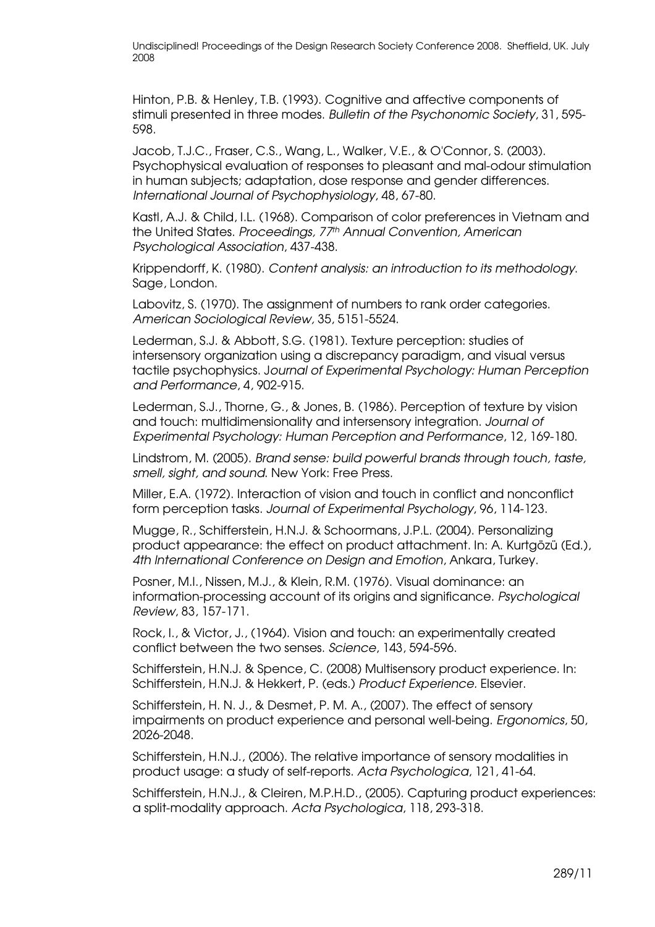Hinton, P.B. & Henley, T.B. (1993). Cognitive and affective components of stimuli presented in three modes. Bulletin of the Psychonomic Society, 31, 595- 598.

Jacob, T.J.C., Fraser, C.S., Wang, L., Walker, V.E., & O'Connor, S. (2003). Psychophysical evaluation of responses to pleasant and mal-odour stimulation in human subjects; adaptation, dose response and gender differences. International Journal of Psychophysiology, 48, 67-80.

Kastl, A.J. & Child, I.L. (1968). Comparison of color preferences in Vietnam and the United States. Proceedings, 77th Annual Convention, American Psychological Association, 437-438.

Krippendorff, K. (1980). Content analysis: an introduction to its methodology. Sage, London.

Labovitz, S. (1970). The assignment of numbers to rank order categories. American Sociological Review, 35, 5151-5524.

Lederman, S.J. & Abbott, S.G. (1981). Texture perception: studies of intersensory organization using a discrepancy paradigm, and visual versus tactile psychophysics. Journal of Experimental Psychology: Human Perception and Performance, 4, 902-915.

Lederman, S.J., Thorne, G., & Jones, B. (1986). Perception of texture by vision and touch: multidimensionality and intersensory integration. Journal of Experimental Psychology: Human Perception and Performance, 12, 169-180.

Lindstrom, M. (2005). Brand sense: build powerful brands through touch, taste, smell, sight, and sound. New York: Free Press.

Miller, E.A. (1972). Interaction of vision and touch in conflict and nonconflict form perception tasks. Journal of Experimental Psychology, 96, 114-123.

Mugge, R., Schifferstein, H.N.J. & Schoormans, J.P.L. (2004). Personalizing product appearance: the effect on product attachment. In: A. Kurtgözü (Ed.), 4th International Conference on Design and Emotion, Ankara, Turkey.

Posner, M.I., Nissen, M.J., & Klein, R.M. (1976). Visual dominance: an information-processing account of its origins and significance. Psychological Review, 83, 157-171.

Rock, I., & Victor, J., (1964). Vision and touch: an experimentally created conflict between the two senses. Science, 143, 594-596.

Schifferstein, H.N.J. & Spence, C. (2008) Multisensory product experience. In: Schifferstein, H.N.J. & Hekkert, P. (eds.) Product Experience. Elsevier.

Schifferstein, H. N. J., & Desmet, P. M. A., (2007). The effect of sensory impairments on product experience and personal well-being. Ergonomics, 50, 2026-2048.

Schifferstein, H.N.J., (2006). The relative importance of sensory modalities in product usage: a study of self-reports. Acta Psychologica, 121, 41-64.

Schifferstein, H.N.J., & Cleiren, M.P.H.D., (2005). Capturing product experiences: a split-modality approach. Acta Psychologica, 118, 293-318.